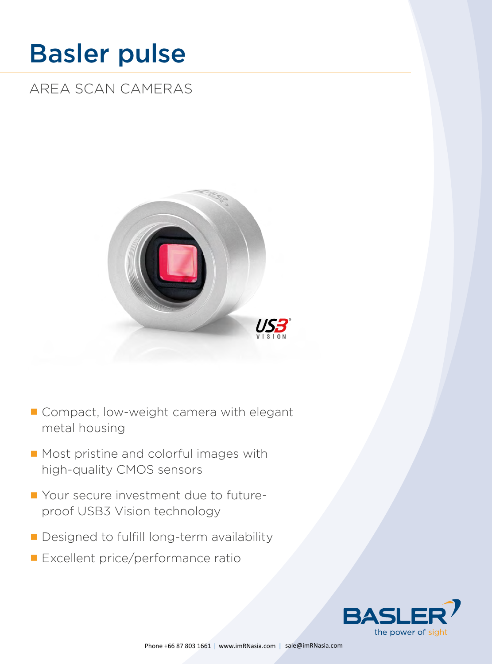# [Basler pulse](http://www.baslerweb.com/en/products/area-scan-cameras/pulse)

AREA SCAN CAMERAS



- Compact, low-weight camera with elegant metal housing
- Most pristine and colorful images with high-quality CMOS sensors
- Your secure investment due to futureproof USB3 Vision technology
- Designed to fulfill long-term availability
- **Excellent price/performance ratio**

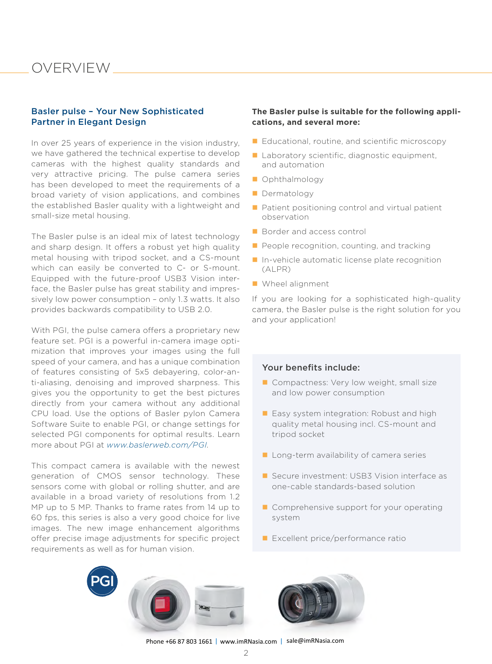### OVERVIEW

### Basler pulse – Your New Sophisticated Partner in Elegant Design

In over 25 years of experience in the vision industry, we have gathered the technical expertise to develop cameras with the highest quality standards and very attractive pricing. The pulse camera series has been developed to meet the requirements of a broad variety of vision applications, and combines the established Basler quality with a lightweight and small-size metal housing.

The Basler pulse is an ideal mix of latest technology and sharp design. It offers a robust yet high quality metal housing with tripod socket, and a CS-mount which can easily be converted to C- or S-mount. Equipped with the future-proof USB3 Vision interface, the Basler pulse has great stability and impressively low power consumption – only 1.3 watts. It also provides backwards compatibility to USB 2.0.

With PGI, the pulse camera offers a proprietary new feature set. PGI is a powerful in-camera image optimization that improves your images using the full speed of your camera, and has a unique combination of features consisting of 5x5 debayering, color-anti-aliasing, denoising and improved sharpness. This gives you the opportunity to get the best pictures directly from your camera without any additional CPU load. Use the options of Basler pylon Camera Software Suite to enable PGI, or change settings for selected PGI components for optimal results. Learn more about PGI at *<www.baslerweb.com/PGI>*.

This compact camera is available with the newest generation of CMOS sensor technology. These sensors come with global or rolling shutter, and are available in a broad variety of resolutions from 1.2 MP up to 5 MP. Thanks to frame rates from 14 up to 60 fps, this series is also a very good choice for live images. The new image enhancement algorithms offer precise image adjustments for specific project requirements as well as for human vision.

### **The Basler pulse is suitable for the following applications, and several more:**

- $\blacksquare$  Educational, routine, and scientific microscopy
- Laboratory scientific, diagnostic equipment, and automation
- **Ophthalmology**
- **Dermatology**
- $\blacksquare$  Patient positioning control and virtual patient observation
- Border and access control
- $\blacksquare$  People recognition, counting, and tracking
- In-vehicle automatic license plate recognition (ALPR)
- **N** Wheel alignment

If you are looking for a sophisticated high-quality camera, the Basler pulse is the right solution for you and your application!

### Your benefits include:

- Compactness: Very low weight, small size and low power consumption
- Easy system integration: Robust and high quality metal housing incl. CS-mount and tripod socket
- Long-term availability of camera series
- Secure investment: USB3 Vision interface as one-cable standards-based solution
- Comprehensive support for your operating system
- Excellent price/performance ratio



Phone +66 87 803 1661 | www.imRNasia.com | sale@imRNasia.com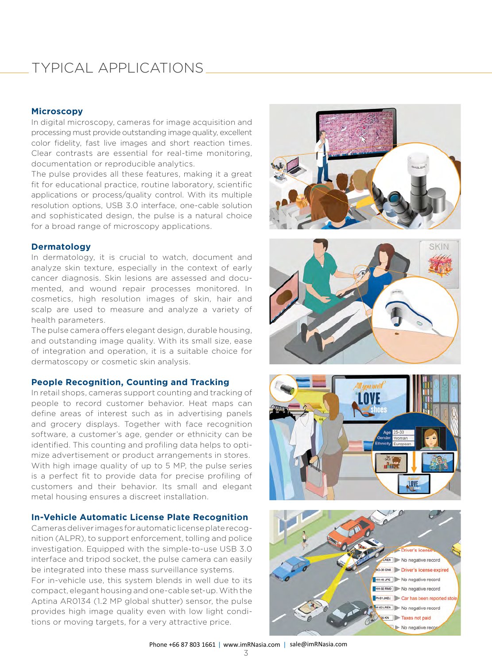## TYPICAL APPLICATIONS

### **Microscopy**

In digital microscopy, cameras for image acquisition and processing must provide outstanding image quality, excellent color fidelity, fast live images and short reaction times. Clear contrasts are essential for real-time monitoring, documentation or reproducible analytics.

The pulse provides all these features, making it a great fit for educational practice, routine laboratory, scientific applications or process/quality control. With its multiple resolution options, USB 3.0 interface, one-cable solution and sophisticated design, the pulse is a natural choice for a broad range of microscopy applications.

#### **Dermatology**

In dermatology, it is crucial to watch, document and analyze skin texture, especially in the context of early cancer diagnosis. Skin lesions are assessed and documented, and wound repair processes monitored. In cosmetics, high resolution images of skin, hair and scalp are used to measure and analyze a variety of health parameters.

The pulse camera offers elegant design, durable housing, and outstanding image quality. With its small size, ease of integration and operation, it is a suitable choice for dermatoscopy or cosmetic skin analysis.

#### **People Recognition, Counting and Tracking**

In retail shops, cameras support counting and tracking of people to record customer behavior. Heat maps can define areas of interest such as in advertising panels and grocery displays. Together with face recognition software, a customer's age, gender or ethnicity can be identified. This counting and profiling data helps to optimize advertisement or product arrangements in stores. With high image quality of up to 5 MP, the pulse series is a perfect fit to provide data for precise profiling of customers and their behavior. Its small and elegant metal housing ensures a discreet installation.

### **In-Vehicle Automatic License Plate Recognition**

Cameras deliver images for automatic license plate recognition (ALPR), to support enforcement, tolling and police investigation. Equipped with the simple-to-use USB 3.0 interface and tripod socket, the pulse camera can easily be integrated into these mass surveillance systems. For in-vehicle use, this system blends in well due to its compact, elegant housing and one-cable set-up. With the Aptina AR0134 (1.2 MP global shutter) sensor, the pulse provides high image quality even with low light conditions or moving targets, for a very attractive price.







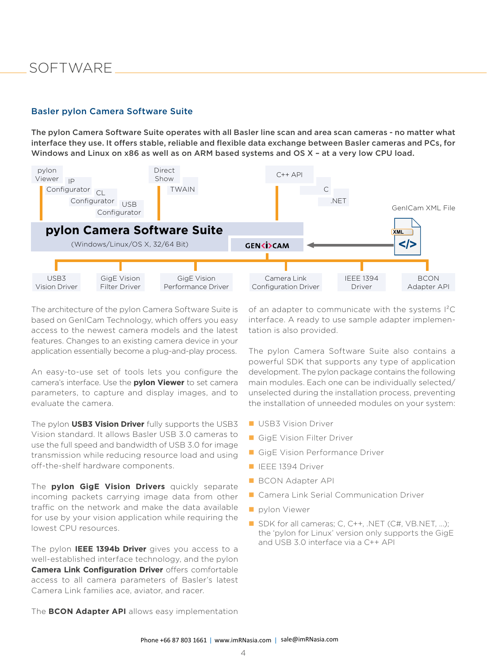### SOFTWARE

### Basler pylon Camera Software Suite

The pylon Camera Software Suite operates with all Basler line scan and area scan cameras - no matter what interface they use. It offers stable, reliable and flexible data exchange between Basler cameras and PCs, for Windows and Linux on x86 as well as on ARM based systems and OS X – at a very low CPU load.



The architecture of the pylon Camera Software Suite is based on GenICam Technology, which offers you easy access to the newest camera models and the latest features. Changes to an existing camera device in your application essentially become a plug-and-play process.

An easy-to-use set of tools lets you configure the camera's interface. Use the **pylon Viewer** to set camera parameters, to capture and display images, and to evaluate the camera.

The pylon **USB3 Vision Driver** fully supports the USB3 Vision standard. It allows Basler USB 3.0 cameras to use the full speed and bandwidth of USB 3.0 for image transmission while reducing resource load and using off-the-shelf hardware components.

The **pylon GigE Vision Drivers** quickly separate incoming packets carrying image data from other traffic on the network and make the data available for use by your vision application while requiring the lowest CPU resources.

The pylon **IEEE 1394b Driver** gives you access to a well-established interface technology, and the pylon **Camera Link Configuration Driver** offers comfortable access to all camera parameters of Basler's latest Camera Link families ace, aviator, and racer.

of an adapter to communicate with the systems I²C interface. A ready to use sample adapter implementation is also provided.

The pylon Camera Software Suite also contains a powerful SDK that supports any type of application development. The pylon package contains the following main modules. Each one can be individually selected/ unselected during the installation process, preventing the installation of unneeded modules on your system:

- **USB3 Vision Driver**
- GigE Vision Filter Driver
- GigE Vision Performance Driver
- **IEEE 1394 Driver**
- **BCON Adapter API**
- Camera Link Serial Communication Driver
- **pylon Viewer**
- SDK for all cameras; C, C++, .NET (C#, [VB.NET,](http://VB.NET) ...); the 'pylon for Linux' version only supports the GigE and USB 3.0 interface via a C++ API

The **BCON Adapter API** allows easy implementation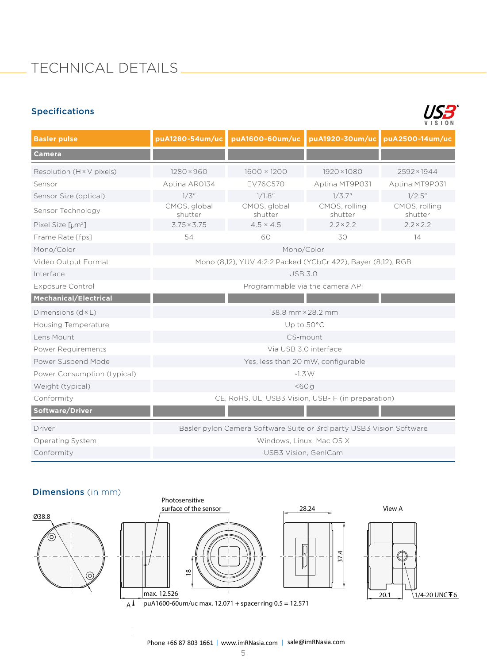# TECHNICAL DETAILS

### Specifications



| <b>Basler pulse</b>               | puA1280-54um/uc                                                      | puA1600-60um/uc         |                          | puA1920-30um/uc puA2500-14um/uc |
|-----------------------------------|----------------------------------------------------------------------|-------------------------|--------------------------|---------------------------------|
| <b>Camera</b>                     |                                                                      |                         |                          |                                 |
| Resolution ( $H \times V$ pixels) | $1280 \times 960$                                                    | 1600 × 1200             | 1920×1080                | 2592×1944                       |
| Sensor                            | Aptina AR0134                                                        | EV76C570                | Aptina MT9P031           | Aptina MT9P031                  |
| Sensor Size (optical)             | 1/3''                                                                | 1/1.8"                  | 1/3.7"                   | $1/2.5$ "                       |
| Sensor Technology                 | CMOS, global<br>shutter                                              | CMOS, global<br>shutter | CMOS, rolling<br>shutter | CMOS, rolling<br>shutter        |
| Pixel Size [µm <sup>2</sup> ]     | $3.75 \times 3.75$                                                   | $4.5 \times 4.5$        | $2.2 \times 2.2$         | $2.2 \times 2.2$                |
| Frame Rate [fps]                  | 54                                                                   | 60                      | 30                       | 14                              |
| Mono/Color                        | Mono/Color                                                           |                         |                          |                                 |
| Video Output Format               | Mono (8,12), YUV 4:2:2 Packed (YCbCr 422), Bayer (8,12), RGB         |                         |                          |                                 |
| Interface                         | <b>USB 3.0</b>                                                       |                         |                          |                                 |
| <b>Exposure Control</b>           | Programmable via the camera API                                      |                         |                          |                                 |
| <b>Mechanical/Electrical</b>      |                                                                      |                         |                          |                                 |
| Dimensions (d × L)                | 38.8 mm × 28.2 mm                                                    |                         |                          |                                 |
| <b>Housing Temperature</b>        | Up to 50°C                                                           |                         |                          |                                 |
| Lens Mount                        | CS-mount                                                             |                         |                          |                                 |
| Power Requirements                | Via USB 3.0 interface                                                |                         |                          |                                 |
| Power Suspend Mode                | Yes, less than 20 mW, configurable                                   |                         |                          |                                 |
| Power Consumption (typical)       | $-1.3W$                                                              |                         |                          |                                 |
| Weight (typical)                  | $<$ 60 g                                                             |                         |                          |                                 |
| Conformity                        | CE, RoHS, UL, USB3 Vision, USB-IF (in preparation)                   |                         |                          |                                 |
| Software/Driver                   |                                                                      |                         |                          |                                 |
| Driver                            | Basler pylon Camera Software Suite or 3rd party USB3 Vision Software |                         |                          |                                 |
| <b>Operating System</b>           | Windows, Linux, Mac OS X                                             |                         |                          |                                 |
| Conformity                        | <b>USB3 Vision, GenICam</b>                                          |                         |                          |                                 |

### Dimensions (in mm)

 $\overline{1}$